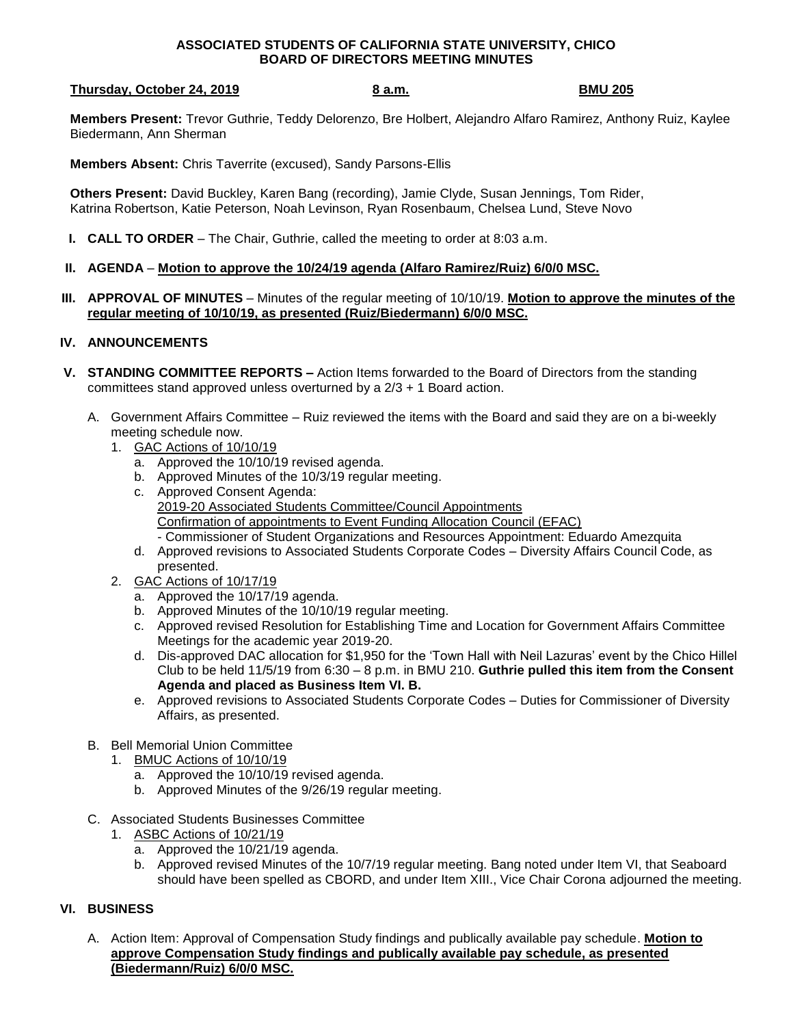## **ASSOCIATED STUDENTS OF CALIFORNIA STATE UNIVERSITY, CHICO BOARD OF DIRECTORS MEETING MINUTES**

## **Thursday, October 24, 2019 8 a.m. BMU 205**

**Members Present:** Trevor Guthrie, Teddy Delorenzo, Bre Holbert, Alejandro Alfaro Ramirez, Anthony Ruiz, Kaylee Biedermann, Ann Sherman

**Members Absent:** Chris Taverrite (excused), Sandy Parsons-Ellis

**Others Present:** David Buckley, Karen Bang (recording), Jamie Clyde, Susan Jennings, Tom Rider, Katrina Robertson, Katie Peterson, Noah Levinson, Ryan Rosenbaum, Chelsea Lund, Steve Novo

- **I. CALL TO ORDER** The Chair, Guthrie, called the meeting to order at 8:03 a.m.
- **II. AGENDA Motion to approve the 10/24/19 agenda (Alfaro Ramirez/Ruiz) 6/0/0 MSC.**
- **III. APPROVAL OF MINUTES** Minutes of the regular meeting of 10/10/19. **Motion to approve the minutes of the regular meeting of 10/10/19, as presented (Ruiz/Biedermann) 6/0/0 MSC.**

## **IV. ANNOUNCEMENTS**

- **V. STANDING COMMITTEE REPORTS –** Action Items forwarded to the Board of Directors from the standing committees stand approved unless overturned by a 2/3 + 1 Board action.
	- A. Government Affairs Committee Ruiz reviewed the items with the Board and said they are on a bi-weekly meeting schedule now.
		- 1. GAC Actions of 10/10/19
			- a. Approved the 10/10/19 revised agenda.
			- b. Approved Minutes of the 10/3/19 regular meeting.
			- c. Approved Consent Agenda: 2019-20 Associated Students Committee/Council Appointments Confirmation of appointments to Event Funding Allocation Council (EFAC) - Commissioner of Student Organizations and Resources Appointment: Eduardo Amezquita
			- d. Approved revisions to Associated Students Corporate Codes Diversity Affairs Council Code, as presented.
		- 2. GAC Actions of 10/17/19
			- a. Approved the 10/17/19 agenda.
			- b. Approved Minutes of the 10/10/19 regular meeting.
			- c. Approved revised Resolution for Establishing Time and Location for Government Affairs Committee Meetings for the academic year 2019-20.
			- d. Dis-approved DAC allocation for \$1,950 for the 'Town Hall with Neil Lazuras' event by the Chico Hillel Club to be held 11/5/19 from 6:30 – 8 p.m. in BMU 210. **Guthrie pulled this item from the Consent Agenda and placed as Business Item VI. B.**
			- e. Approved revisions to Associated Students Corporate Codes Duties for Commissioner of Diversity Affairs, as presented.
	- B. Bell Memorial Union Committee
		- 1. BMUC Actions of 10/10/19
			- a. Approved the 10/10/19 revised agenda.
			- b. Approved Minutes of the 9/26/19 regular meeting.
	- C. Associated Students Businesses Committee
		- 1. ASBC Actions of 10/21/19
			- a. Approved the 10/21/19 agenda.
			- b. Approved revised Minutes of the 10/7/19 regular meeting. Bang noted under Item VI, that Seaboard should have been spelled as CBORD, and under Item XIII., Vice Chair Corona adjourned the meeting.

## **VI. BUSINESS**

A. Action Item: Approval of Compensation Study findings and publically available pay schedule. **Motion to approve Compensation Study findings and publically available pay schedule, as presented (Biedermann/Ruiz) 6/0/0 MSC.**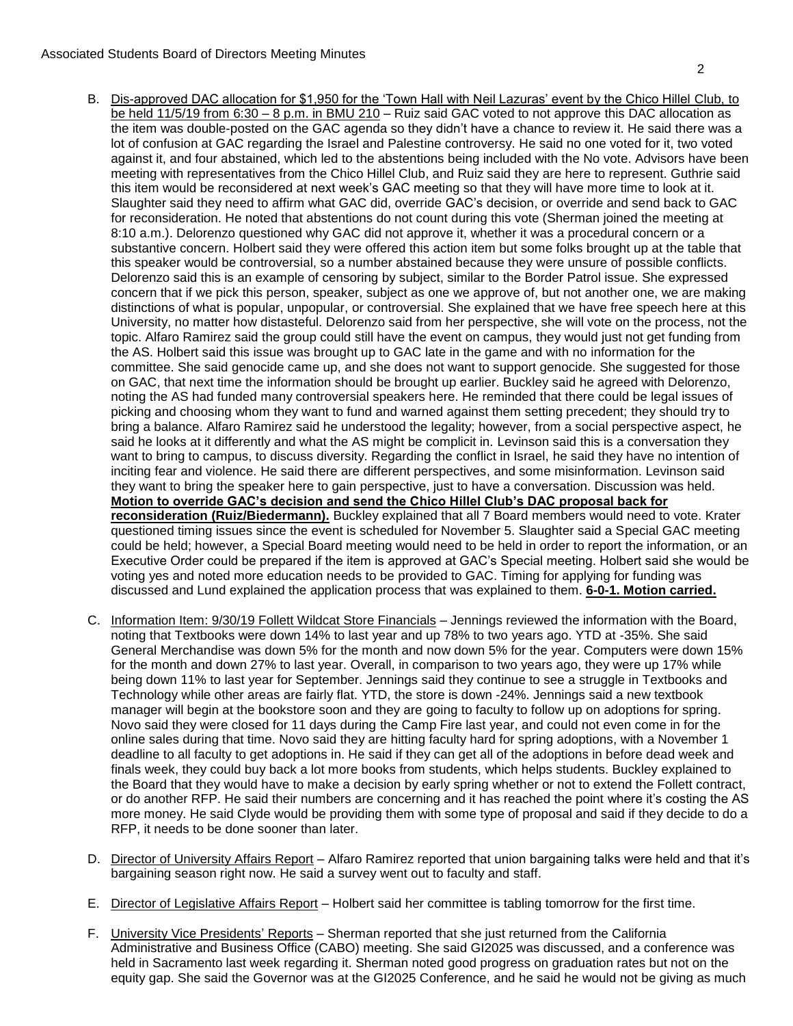- B. Dis-approved DAC allocation for \$1,950 for the 'Town Hall with Neil Lazuras' event by the Chico Hillel Club, to be held 11/5/19 from 6:30 - 8 p.m. in BMU 210 - Ruiz said GAC voted to not approve this DAC allocation as the item was double-posted on the GAC agenda so they didn't have a chance to review it. He said there was a lot of confusion at GAC regarding the Israel and Palestine controversy. He said no one voted for it, two voted against it, and four abstained, which led to the abstentions being included with the No vote. Advisors have been meeting with representatives from the Chico Hillel Club, and Ruiz said they are here to represent. Guthrie said this item would be reconsidered at next week's GAC meeting so that they will have more time to look at it. Slaughter said they need to affirm what GAC did, override GAC's decision, or override and send back to GAC for reconsideration. He noted that abstentions do not count during this vote (Sherman joined the meeting at 8:10 a.m.). Delorenzo questioned why GAC did not approve it, whether it was a procedural concern or a substantive concern. Holbert said they were offered this action item but some folks brought up at the table that this speaker would be controversial, so a number abstained because they were unsure of possible conflicts. Delorenzo said this is an example of censoring by subject, similar to the Border Patrol issue. She expressed concern that if we pick this person, speaker, subject as one we approve of, but not another one, we are making distinctions of what is popular, unpopular, or controversial. She explained that we have free speech here at this University, no matter how distasteful. Delorenzo said from her perspective, she will vote on the process, not the topic. Alfaro Ramirez said the group could still have the event on campus, they would just not get funding from the AS. Holbert said this issue was brought up to GAC late in the game and with no information for the committee. She said genocide came up, and she does not want to support genocide. She suggested for those on GAC, that next time the information should be brought up earlier. Buckley said he agreed with Delorenzo, noting the AS had funded many controversial speakers here. He reminded that there could be legal issues of picking and choosing whom they want to fund and warned against them setting precedent; they should try to bring a balance. Alfaro Ramirez said he understood the legality; however, from a social perspective aspect, he said he looks at it differently and what the AS might be complicit in. Levinson said this is a conversation they want to bring to campus, to discuss diversity. Regarding the conflict in Israel, he said they have no intention of inciting fear and violence. He said there are different perspectives, and some misinformation. Levinson said they want to bring the speaker here to gain perspective, just to have a conversation. Discussion was held. **Motion to override GAC's decision and send the Chico Hillel Club's DAC proposal back for reconsideration (Ruiz/Biedermann).** Buckley explained that all 7 Board members would need to vote. Krater questioned timing issues since the event is scheduled for November 5. Slaughter said a Special GAC meeting could be held; however, a Special Board meeting would need to be held in order to report the information, or an Executive Order could be prepared if the item is approved at GAC's Special meeting. Holbert said she would be voting yes and noted more education needs to be provided to GAC. Timing for applying for funding was discussed and Lund explained the application process that was explained to them. **6-0-1. Motion carried.**
- C. Information Item: 9/30/19 Follett Wildcat Store Financials Jennings reviewed the information with the Board, noting that Textbooks were down 14% to last year and up 78% to two years ago. YTD at -35%. She said General Merchandise was down 5% for the month and now down 5% for the year. Computers were down 15% for the month and down 27% to last year. Overall, in comparison to two years ago, they were up 17% while being down 11% to last year for September. Jennings said they continue to see a struggle in Textbooks and Technology while other areas are fairly flat. YTD, the store is down -24%. Jennings said a new textbook manager will begin at the bookstore soon and they are going to faculty to follow up on adoptions for spring. Novo said they were closed for 11 days during the Camp Fire last year, and could not even come in for the online sales during that time. Novo said they are hitting faculty hard for spring adoptions, with a November 1 deadline to all faculty to get adoptions in. He said if they can get all of the adoptions in before dead week and finals week, they could buy back a lot more books from students, which helps students. Buckley explained to the Board that they would have to make a decision by early spring whether or not to extend the Follett contract, or do another RFP. He said their numbers are concerning and it has reached the point where it's costing the AS more money. He said Clyde would be providing them with some type of proposal and said if they decide to do a RFP, it needs to be done sooner than later.
- D. Director of University Affairs Report Alfaro Ramirez reported that union bargaining talks were held and that it's bargaining season right now. He said a survey went out to faculty and staff.
- E. Director of Legislative Affairs Report Holbert said her committee is tabling tomorrow for the first time.
- F. University Vice Presidents' Reports Sherman reported that she just returned from the California Administrative and Business Office (CABO) meeting. She said GI2025 was discussed, and a conference was held in Sacramento last week regarding it. Sherman noted good progress on graduation rates but not on the equity gap. She said the Governor was at the GI2025 Conference, and he said he would not be giving as much